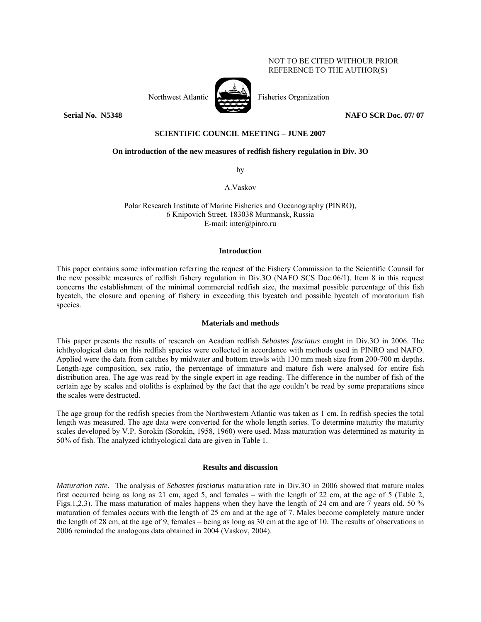## NOT TO BE CITED WITHOUR PRIOR REFERENCE TO THE AUTHOR(S)



Northwest Atlantic Fisheries Organization

**Serial No. 35348** NAFO SCR Doc. 07/ 07

# **SCIENTIFIC COUNCIL MEETING – JUNE 2007**

## **On introduction of the new measures of redfish fishery regulation in Div. 3O**

by

A.Vaskov

Polar Research Institute of Marine Fisheries and Oceanography (PINRO), 6 Knipovich Street, 183038 Murmansk, Russia E-mail: inter@pinro.ru

#### **Introduction**

This paper contains some information referring the request of the Fishery Commission to the Scientific Counsil for the new possible measures of redfish fishery regulation in Div.3O (NAFO SCS Doc.06/1). Item 8 in this request concerns the establishment of the minimal commercial redfish size, the maximal possible percentage of this fish bycatch, the closure and opening of fishery in exceeding this bycatch and possible bycatch of moratorium fish species.

#### **Materials and methods**

This paper presents the results of research on Acadian redfish *Sebastes fasciatus* caught in Div.3O in 2006. The ichthyological data on this redfish species were collected in accordance with methods used in PINRO and NAFO. Applied were the data from catches by midwater and bottom trawls with 130 mm mesh size from 200-700 m depths. Length-age composition, sex ratio, the percentage of immature and mature fish were analysed for entire fish distribution area. The age was read by the single expert in age reading. The difference in the number of fish of the certain age by scales and otoliths is explained by the fact that the age couldn't be read by some preparations since the scales were destructed.

The age group for the redfish species from the Northwestern Atlantic was taken as 1 cm. In redfish species the total length was measured. The age data were converted for the whole length series. To determine maturity the maturity scales developed by V.P. Sorokin (Sorokin, 1958, 1960) were used. Mass maturation was determined as maturity in 50% of fish. The analyzed ichthyological data are given in Table 1.

## **Results and discussion**

*Maturation rate.* The analysis of *Sebastes fasciatus* maturation rate in Div.3O in 2006 showed that mature males first occurred being as long as 21 cm, aged 5, and females – with the length of 22 cm, at the age of 5 (Table 2, Figs.1,2,3). The mass maturation of males happens when they have the length of 24 cm and are 7 years old. 50 % maturation of females occurs with the length of 25 cm and at the age of 7. Males become completely mature under the length of 28 cm, at the age of 9, females – being as long as 30 cm at the age of 10. The results of observations in 2006 reminded the analogous data obtained in 2004 (Vaskov, 2004).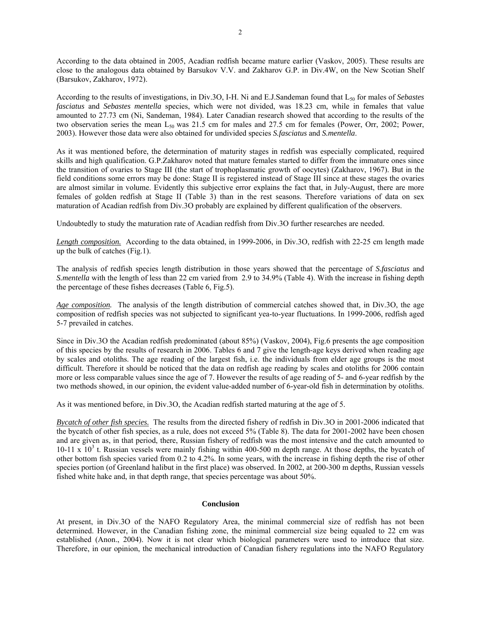According to the data obtained in 2005, Acadian redfish became mature earlier (Vaskov, 2005). These results are close to the analogous data obtained by Barsukov V.V. and Zakharov G.P. in Div.4W, on the New Scotian Shelf (Barsukov, Zakharov, 1972).

According to the results of investigations, in Div.3O, I-H. Ni and E.J.Sandeman found that L50 for males of *Sebastes fasciatus* and *Sebastes mentella* species, which were not divided, was 18.23 cm, while in females that value amounted to 27.73 cm (Ni, Sandeman, 1984). Later Canadian research showed that according to the results of the two observation series the mean  $L_{50}$  was 21.5 cm for males and 27.5 cm for females (Power, Orr, 2002; Power, 2003). However those data were also obtained for undivided species *S.fasciatus* and *S.mentella*.

As it was mentioned before, the determination of maturity stages in redfish was especially complicated, required skills and high qualification. G.P.Zakharov noted that mature females started to differ from the immature ones since the transition of ovaries to Stage III (the start of trophoplasmatic growth of oocytes) (Zakharov, 1967). But in the field conditions some errors may be done: Stage II is registered instead of Stage III since at these stages the ovaries are almost similar in volume. Evidently this subjective error explains the fact that, in July-August, there are more females of golden redfish at Stage II (Table 3) than in the rest seasons. Therefore variations of data on sex maturation of Acadian redfish from Div.3O probably are explained by different qualification of the observers.

Undoubtedly to study the maturation rate of Acadian redfish from Div.3O further researches are needed.

*Length composition.* According to the data obtained, in 1999-2006, in Div.3O, redfish with 22-25 cm length made up the bulk of catches (Fig.1).

The analysis of redfish species length distribution in those years showed that the percentage of *S.fasciatus* and *S.mentella* with the length of less than 22 cm varied from 2.9 to 34.9% (Table 4). With the increase in fishing depth the percentage of these fishes decreases (Table 6, Fig.5).

*Age composition.* The analysis of the length distribution of commercial catches showed that, in Div.3O, the age composition of redfish species was not subjected to significant yea-to-year fluctuations. In 1999-2006, redfish aged 5-7 prevailed in catches.

Since in Div.3O the Acadian redfish predominated (about 85%) (Vaskov, 2004), Fig.6 presents the age composition of this species by the results of research in 2006. Tables 6 and 7 give the length-age keys derived when reading age by scales and otoliths. The age reading of the largest fish, i.e. the individuals from elder age groups is the most difficult. Therefore it should be noticed that the data on redfish age reading by scales and otoliths for 2006 contain more or less comparable values since the age of 7. However the results of age reading of 5- and 6-year redfish by the two methods showed, in our opinion, the evident value-added number of 6-year-old fish in determination by otoliths.

As it was mentioned before, in Div.3O, the Acadian redfish started maturing at the age of 5.

*Bycatch of other fish species.* The results from the directed fishery of redfish in Div.3O in 2001-2006 indicated that the bycatch of other fish species, as a rule, does not exceed 5% (Table 8). The data for 2001-2002 have been chosen and are given as, in that period, there, Russian fishery of redfish was the most intensive and the catch amounted to  $10-11 \times 10^3$  t. Russian vessels were mainly fishing within 400-500 m depth range. At those depths, the bycatch of other bottom fish species varied from 0.2 to 4.2%. In some years, with the increase in fishing depth the rise of other species portion (of Greenland halibut in the first place) was observed. In 2002, at 200-300 m depths, Russian vessels fished white hake and, in that depth range, that species percentage was about 50%.

#### **Conclusion**

At present, in Div.3O of the NAFO Regulatory Area, the minimal commercial size of redfish has not been determined. However, in the Canadian fishing zone, the minimal commercial size being equaled to 22 cm was established (Anon., 2004). Now it is not clear which biological parameters were used to introduce that size. Therefore, in our opinion, the mechanical introduction of Canadian fishery regulations into the NAFO Regulatory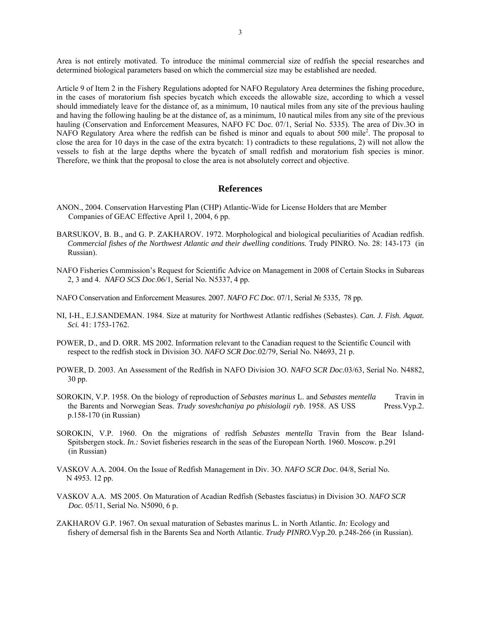Area is not entirely motivated. To introduce the minimal commercial size of redfish the special researches and determined biological parameters based on which the commercial size may be established are needed.

Article 9 of Item 2 in the Fishery Regulations adopted for NAFO Regulatory Area determines the fishing procedure, in the cases of moratorium fish species bycatch which exceeds the allowable size, according to which a vessel should immediately leave for the distance of, as a minimum, 10 nautical miles from any site of the previous hauling and having the following hauling be at the distance of, as a minimum, 10 nautical miles from any site of the previous hauling (Conservation and Enforcement Measures, NAFO FC Doc. 07/1, Serial No. 5335). The area of Div.3O in NAFO Regulatory Area where the redfish can be fished is minor and equals to about 500 mile<sup>2</sup>. The proposal to close the area for 10 days in the case of the extra bycatch: 1) contradicts to these regulations, 2) will not allow the vessels to fish at the large depths where the bycatch of small redfish and moratorium fish species is minor. Therefore, we think that the proposal to close the area is not absolutely correct and objective.

#### **References**

- ANON., 2004. Conservation Harvesting Plan (CHP) Atlantic-Wide for License Holders that are Member Companies of GEAC Effective April 1, 2004, 6 pp.
- BARSUKOV, B. B., and G. P. ZAKHAROV. 1972. Morphological and biological peculiarities of Acadian redfish. *Commercial fishes of the Northwest Atlantic and their dwelling conditions.* Trudy PINRO. No. 28: 143-173 (in Russian).
- NAFO Fisheries Commission's Request for Scientific Advice on Management in 2008 of Certain Stocks in Subareas 2, 3 and 4. *NAFO SCS Doc*.06/1, Serial No. N5337, 4 pp.
- NAFO Conservation and Enforcement Measures. 2007. *NAFO FC Doc.* 07/1, Serial № 5335, 78 pp.
- NI, I-H., E.J.SANDEMAN. 1984. Size at maturity for Northwest Atlantic redfishes (Sebastes). *Can. J. Fish. Aquat. Sci.* 41: 1753-1762.
- POWER, D., and D. ORR. MS 2002. Information relevant to the Canadian request to the Scientific Council with respect to the redfish stock in Division 3O. *NAFO SCR Doc*.02/79, Serial No. N4693, 21 p.
- POWER, D. 2003. An Assessment of the Redfish in NAFO Division 3O. *NAFO SCR Doc.*03/63, Serial No. N4882, 30 pp.
- SOROKIN, V.P. 1958. On the biology of reproduction of *Sebastes marinus* L. and *Sebastes mentella* Travin in the Barents and Norwegian Seas. *Trudy soveshchaniya po phisiologii ryb.* 1958. AS USS Press.Vyp.2. p.158-170 (in Russian)
- SOROKIN, V.P. 1960. On the migrations of redfish *Sebastes mentella* Travin from the Bear Island-Spitsbergen stock. *In.:* Soviet fisheries research in the seas of the European North. 1960. Moscow*.* p.291 (in Russian)
- VASKOV A.A. 2004. On the Issue of Redfish Management in Div. 3O. *NAFO SCR Doc*. 04/8, Serial No. N 4953. 12 pp.
- VASKOV A.A. MS 2005. On Maturation of Acadian Redfish (Sebastes fasciatus) in Division 3O. *NAFO SCR Doc.* 05/11, Serial No. N5090, 6 p.
- ZAKHAROV G.P. 1967. On sexual maturation of Sebastes marinus L. in North Atlantic. *In:* Ecology and fishery of demersal fish in the Barents Sea and North Atlantic. *Trudy PINRO.*Vyp.20*.* p.248-266 (in Russian).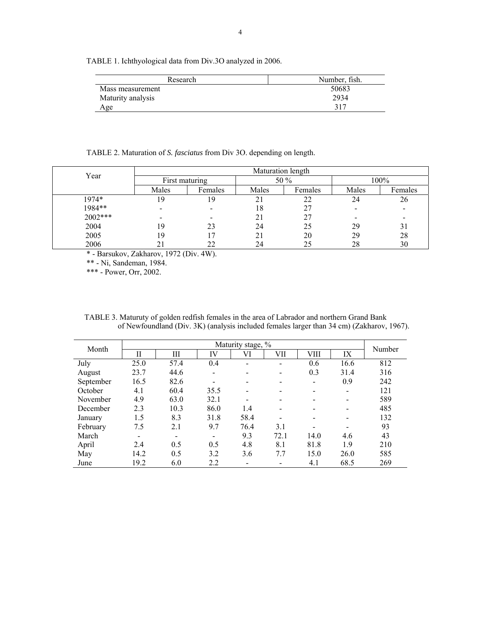TABLE 1. Ichthyological data from Div.3O analyzed in 2006.

| Research          | Number, fish. |
|-------------------|---------------|
| Mass measurement  | 50683         |
| Maturity analysis | 2934          |
| Age               | 317           |

TABLE 2. Maturation of *S. fasciatus* from Div 3O. depending on length.

| Year    | Maturation length |         |       |         |       |         |  |  |  |  |  |
|---------|-------------------|---------|-------|---------|-------|---------|--|--|--|--|--|
|         | First maturing    |         |       | 50 %    | 100%  |         |  |  |  |  |  |
|         | Males             | Females | Males | Females | Males | Females |  |  |  |  |  |
| 1974*   | 19                | 9       | 21    | 22      | 24    | 26      |  |  |  |  |  |
| 1984**  |                   |         | 18    |         |       |         |  |  |  |  |  |
| 2002*** |                   |         | 21    |         |       |         |  |  |  |  |  |
| 2004    | 19                | 23      | 24    | 25      | 29    | 31      |  |  |  |  |  |
| 2005    | 19                |         | 21    | 20      | 29    | 28      |  |  |  |  |  |
| 2006    |                   |         | 24    | 25      | 28    | 30      |  |  |  |  |  |

\* - Barsukov, Zakharov, 1972 (Div. 4W).

\*\* - Ni, Sandeman, 1984.

\*\*\* - Power, Orr, 2002.

TABLE 3. Maturuty of golden redfish females in the area of Labrador and northern Grand Bank of Newfoundland (Div. 3K) (analysis included females larger than 34 cm) (Zakharov, 1967).

| Month     |      | Number                   |                          |      |                              |      |                          |     |
|-----------|------|--------------------------|--------------------------|------|------------------------------|------|--------------------------|-----|
|           | Н    | Ш                        | IV                       | VI   | VII                          | VIII | IX                       |     |
| July      | 25.0 | 57.4                     | 0.4                      |      |                              | 0.6  | 16.6                     | 812 |
| August    | 23.7 | 44.6                     | $\overline{\phantom{a}}$ |      | $\overline{\phantom{a}}$     | 0.3  | 31.4                     | 316 |
| September | 16.5 | 82.6                     |                          |      |                              |      | 0.9                      | 242 |
| October   | 4.1  | 60.4                     | 35.5                     |      |                              |      | $\overline{\phantom{0}}$ | 121 |
| November  | 4.9  | 63.0                     | 32.1                     | -    | $\qquad \qquad \blacksquare$ |      | $\overline{\phantom{0}}$ | 589 |
| December  | 2.3  | 10.3                     | 86.0                     | 1.4  |                              |      |                          | 485 |
| January   | 1.5  | 8.3                      | 31.8                     | 58.4 |                              |      |                          | 132 |
| February  | 7.5  | 2.1                      | 9.7                      | 76.4 | 3.1                          |      |                          | 93  |
| March     |      | $\overline{\phantom{0}}$ | $\overline{\phantom{0}}$ | 9.3  | 72.1                         | 14.0 | 4.6                      | 43  |
| April     | 2.4  | 0.5                      | 0.5                      | 4.8  | 8.1                          | 81.8 | 1.9                      | 210 |
| May       | 14.2 | 0.5                      | 3.2                      | 3.6  | 7.7                          | 15.0 | 26.0                     | 585 |
| June      | 19.2 | 6.0                      | 2.2                      |      |                              | 4.1  | 68.5                     | 269 |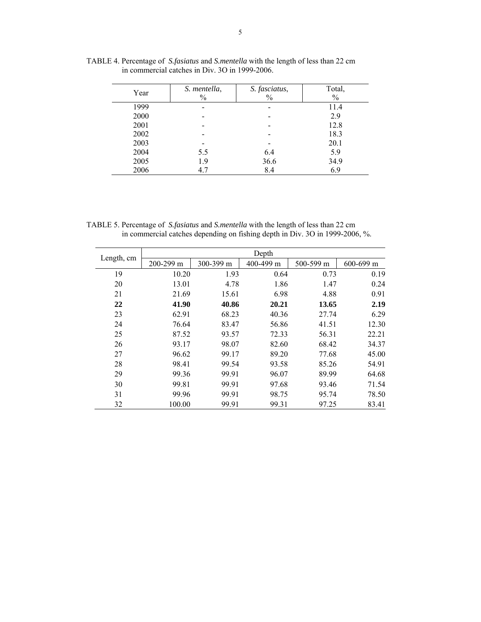| Year | S. mentella,<br>$\frac{0}{0}$ | S. fasciatus,<br>$\frac{0}{0}$ | Total,<br>$\%$ |
|------|-------------------------------|--------------------------------|----------------|
| 1999 |                               | -                              | 11.4           |
| 2000 |                               |                                | 2.9            |
| 2001 |                               |                                | 12.8           |
| 2002 |                               |                                | 18.3           |
| 2003 |                               | -                              | 20.1           |
| 2004 | 5.5                           | 6.4                            | 5.9            |
| 2005 | 1.9                           | 36.6                           | 34.9           |
| 2006 | 4.7                           | 8.4                            | 6.9            |

TABLE 4. Percentage of *S.fasiatus* and *S.mentella* with the length of less than 22 cm in commercial catches in Div. 3O in 1999-2006.

TABLE 5. Percentage of *S.fasiatus* and *S.mentella* with the length of less than 22 cm in commercial catches depending on fishing depth in Div. 3O in 1999-2006, %.

| Length, cm |           |           | Depth     |           |           |
|------------|-----------|-----------|-----------|-----------|-----------|
|            | 200-299 m | 300-399 m | 400-499 m | 500-599 m | 600-699 m |
| 19         | 10.20     | 1.93      | 0.64      | 0.73      | 0.19      |
| 20         | 13.01     | 4.78      | 1.86      | 1.47      | 0.24      |
| 21         | 21.69     | 15.61     | 6.98      | 4.88      | 0.91      |
| 22         | 41.90     | 40.86     | 20.21     | 13.65     | 2.19      |
| 23         | 62.91     | 68.23     | 40.36     | 27.74     | 6.29      |
| 24         | 76.64     | 83.47     | 56.86     | 41.51     | 12.30     |
| 25         | 87.52     | 93.57     | 72.33     | 56.31     | 22.21     |
| 26         | 93.17     | 98.07     | 82.60     | 68.42     | 34.37     |
| 27         | 96.62     | 99.17     |           | 77.68     | 45.00     |
| 28         | 98.41     | 99.54     | 93.58     | 85.26     | 54.91     |
| 29         | 99.36     | 99.91     | 96.07     | 89.99     | 64.68     |
| 30         | 99.81     | 99.91     | 97.68     | 93.46     | 71.54     |
| 31         | 99.96     | 99.91     | 98.75     | 95.74     | 78.50     |
| 32         | 100.00    | 99.91     | 99.31     | 97.25     | 83.41     |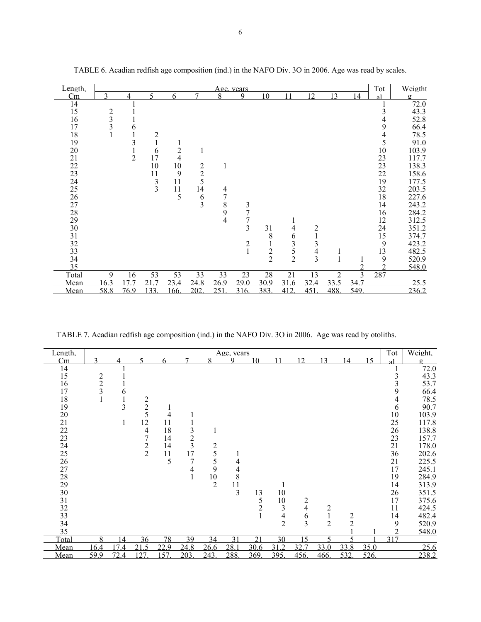| Length. |               |      |                |                |               |                | Age, years     |               |               |                         |                |                          | Tot            | Weigtht  |
|---------|---------------|------|----------------|----------------|---------------|----------------|----------------|---------------|---------------|-------------------------|----------------|--------------------------|----------------|----------|
| Cm      | 2             |      |                | 6              | 7             | 8              | $\mathbf Q$    | 10            |               | 12                      | 13             | $\boldsymbol{\varDelta}$ |                | $\sigma$ |
| 14      |               |      |                |                |               |                |                |               |               |                         |                |                          |                | 72.0     |
| 15      |               |      |                |                |               |                |                |               |               |                         |                |                          | 3              | 43.3     |
| 16      | $\frac{2}{3}$ |      |                |                |               |                |                |               |               |                         |                |                          | 4              | 52.8     |
| 17      |               | 6    |                |                |               |                |                |               |               |                         |                |                          | 9              | 66.4     |
| 18      |               |      | $\overline{c}$ |                |               |                |                |               |               |                         |                |                          | 4              | 78.5     |
| 19      |               | 3    |                |                |               |                |                |               |               |                         |                |                          | 5              | 91.0     |
| 20      |               |      | 6              | $\overline{c}$ |               |                |                |               |               |                         |                |                          | 10             | 103.9    |
| 21      |               | 2    | 17             | 4              |               |                |                |               |               |                         |                |                          | 23             | 117.7    |
| 22      |               |      | 10             | 10             |               | $\mathbf{1}$   |                |               |               |                         |                |                          | 23             | 138.3    |
| 23      |               |      | 11             | 9              | $\frac{2}{5}$ |                |                |               |               |                         |                |                          | 22             | 158.6    |
| 24      |               |      | 3              | 11             |               |                |                |               |               |                         |                |                          | 19             | 177.5    |
| 25      |               |      | 3              | 11             | 14            | 4              |                |               |               |                         |                |                          | 32             | 203.5    |
| 26      |               |      |                | 5              | $\frac{6}{3}$ | $\overline{7}$ |                |               |               |                         |                |                          | $18\,$         | 227.6    |
| 27      |               |      |                |                |               | 8              | 3              |               |               |                         |                |                          | 14             | 243.2    |
| 28      |               |      |                |                |               | 9              | $\overline{7}$ |               |               |                         |                |                          | 16             | 284.2    |
| 29      |               |      |                |                |               | $\overline{4}$ | 7              |               |               |                         |                |                          | 12             | 312.5    |
| 30      |               |      |                |                |               |                | 3              | 31            | 4             | $\overline{\mathbf{c}}$ |                |                          | 24             | 351.2    |
| 31      |               |      |                |                |               |                |                | 8             | 6             | $\mathbf{1}$            |                |                          | 15             | 374.7    |
| 32      |               |      |                |                |               |                | 2              |               | 3             | 3                       |                |                          | 9              | 423.2    |
| 33      |               |      |                |                |               |                |                | $\frac{2}{2}$ | $\frac{5}{2}$ | $rac{4}{3}$             |                |                          | 13             | 482.5    |
| 34      |               |      |                |                |               |                |                |               |               |                         |                |                          | 9              | 520.9    |
| 35      |               |      |                |                |               |                |                |               |               |                         |                |                          | $\overline{2}$ | 548.0    |
| Total   | q             | 16   | 53             | 53             | 33            | 33             | 23             | 28            | 21            | 13                      | $\mathfrak{D}$ | $\mathbf 3$              | 287            |          |
| Mean    | 16.3          | 77   | 21.7           | 23.4           | 24.8          | 26.9           | 29.0           | 30.9          | 31.6          | 32.4                    | 33.5           | 34.7                     |                | 25.5     |
| Mean    | 58.8          | 76.9 | 133.           | 166.           | 202           | 251            | 316.           | 383           | 412           | 451                     | 488            | 549                      |                | 236.2    |

TABLE 6. Acadian redfish age composition (ind.) in the NAFO Div. 3O in 2006. Age was read by scales.

TABLE 7. Acadian redfish age composition (ind.) in the NAFO Div. 3O in 2006. Age was read by otoliths.

| Length.         |                |                |                |      |               |                | <u>Age, vears</u> |                |                |                                       |                |               |      | Tot | Weight.        |
|-----------------|----------------|----------------|----------------|------|---------------|----------------|-------------------|----------------|----------------|---------------------------------------|----------------|---------------|------|-----|----------------|
| Cm              | $\mathbf 3$    | 4              | $\varsigma$    | 6    | 7             | 8              | 9                 | 10             | 11             | 12                                    | 13             | 14            | 15   | a1  | $\mathfrak{Q}$ |
| 14              |                |                |                |      |               |                |                   |                |                |                                       |                |               |      |     | 72.0           |
| 15              | $\frac{2}{2}$  |                |                |      |               |                |                   |                |                |                                       |                |               |      | 3   | 43.3           |
| 16              |                |                |                |      |               |                |                   |                |                |                                       |                |               |      | 3   | 53.7           |
| 17              | $\overline{3}$ | b              |                |      |               |                |                   |                |                |                                       |                |               |      | 9   | 66.4           |
| 18              |                |                | 2              |      |               |                |                   |                |                |                                       |                |               |      | 4   | 78.5           |
| 19              |                | $\mathfrak{Z}$ | $\overline{c}$ |      |               |                |                   |                |                |                                       |                |               |      | 6   | 90.7           |
| 20              |                |                | 5              | 4    |               |                |                   |                |                |                                       |                |               |      | 10  | 103.9          |
| 21              |                | 1              | 12             | 11   |               |                |                   |                |                |                                       |                |               |      | 25  | 117.8          |
| 22              |                |                | 4              | 18   | 3             | 1              |                   |                |                |                                       |                |               |      | 26  | 138.8          |
| 23              |                |                | 7              | 14   | $\frac{2}{3}$ |                |                   |                |                |                                       |                |               |      | 23  | 157.7          |
| 24              |                |                | $\overline{c}$ | 14   |               | $rac{2}{5}$    |                   |                |                |                                       |                |               |      | 21  | 178.0          |
| 25              |                |                | $\overline{2}$ | 11   | 17            |                | 1                 |                |                |                                       |                |               |      | 36  | 202.6          |
| 26              |                |                |                | 5    | 7             | 5              | 4                 |                |                |                                       |                |               |      | 21  | 225.5          |
| 27              |                |                |                |      | 4             | 9              | 4                 |                |                |                                       |                |               |      | 17  | 245.1          |
| 28              |                |                |                |      | $\mathbf{1}$  | $\frac{10}{2}$ | 8                 |                |                |                                       |                |               |      | 19  | 284.9          |
| 29              |                |                |                |      |               |                | 11                |                |                |                                       |                |               |      | 14  | 313.9          |
| 30              |                |                |                |      |               |                | $\overline{3}$    | 13             | 10             |                                       |                |               |      | 26  | 351.5          |
| 31              |                |                |                |      |               |                |                   | 5              | 10             | $\overline{\mathbf{c}}$               |                |               |      | 17  | 375.6          |
| $\frac{32}{33}$ |                |                |                |      |               |                |                   | $\overline{2}$ | $\mathfrak{Z}$ | $\overline{4}$                        | $\overline{c}$ |               |      | 11  | 424.5          |
|                 |                |                |                |      |               |                |                   |                | $\frac{4}{2}$  | $\begin{array}{c} 6 \\ 3 \end{array}$ | $\frac{1}{2}$  | $\frac{2}{2}$ |      | 14  | 482.4          |
| 34              |                |                |                |      |               |                |                   |                |                |                                       |                |               |      | 9   | 520.9          |
| 35              |                |                |                |      |               |                |                   |                |                |                                       |                |               |      |     | 548.0          |
| Total           | 8              | 14             | 36             | 78   | 39            | 34             | 31                | 21             | 30             | 15                                    | 5              | 5             |      | 317 |                |
| Mean            | 16.4           | 74             | 21.5<br>127    | 22.9 | 24.8          | 26.6           | 28.1              | 30.6           | 312            | 32.7                                  | 33.0           | 33.8<br>532   | 35.0 |     | 25.6           |
| Mean            | 59.9           | 72.4           |                | 157  | 203           | 243.           | 288.              | 369.           | 395            | 456.                                  | 466.           |               | 526. |     | 238.2          |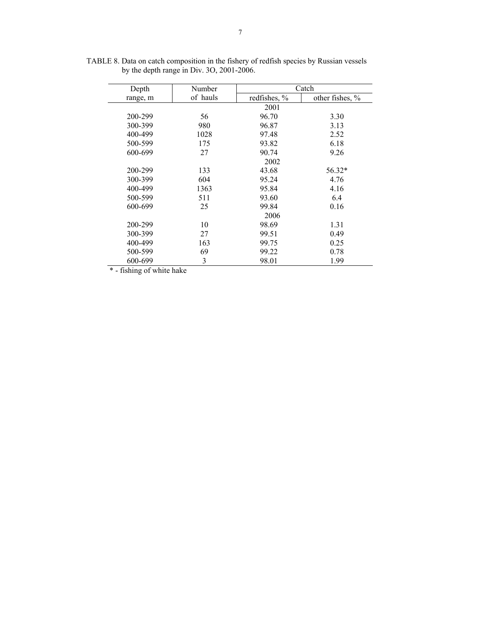| Depth    | Number   | Catch        |                 |  |  |  |  |  |
|----------|----------|--------------|-----------------|--|--|--|--|--|
| range, m | of hauls | redfishes, % | other fishes, % |  |  |  |  |  |
|          |          | 2001         |                 |  |  |  |  |  |
| 200-299  | 56       | 96.70        | 3.30            |  |  |  |  |  |
| 300-399  | 980      | 96.87        | 3.13            |  |  |  |  |  |
| 400-499  | 1028     | 97.48        | 2.52            |  |  |  |  |  |
| 500-599  | 175      | 93.82        | 6.18            |  |  |  |  |  |
| 600-699  | 27       | 90.74        | 9.26            |  |  |  |  |  |
|          |          | 2002         |                 |  |  |  |  |  |
| 200-299  | 133      | 43.68        | 56.32*          |  |  |  |  |  |
| 300-399  | 604      | 95.24        | 4.76            |  |  |  |  |  |
| 400-499  | 1363     | 95.84        | 4.16            |  |  |  |  |  |
| 500-599  | 511      | 93.60        | 6.4             |  |  |  |  |  |
| 600-699  | 25       | 99.84        | 0.16            |  |  |  |  |  |
|          |          | 2006         |                 |  |  |  |  |  |
| 200-299  | 10       | 98.69        | 1.31            |  |  |  |  |  |
| 300-399  | 27       | 99.51        | 0.49            |  |  |  |  |  |
| 400-499  | 163      | 99.75        | 0.25            |  |  |  |  |  |
| 500-599  | 69       | 99.22        | 0.78            |  |  |  |  |  |
| 600-699  | 3        | 98.01        | 1.99            |  |  |  |  |  |

TABLE 8. Data on catch composition in the fishery of redfish species by Russian vessels by the depth range in Div. 3O, 2001-2006.

\* - fishing of white hake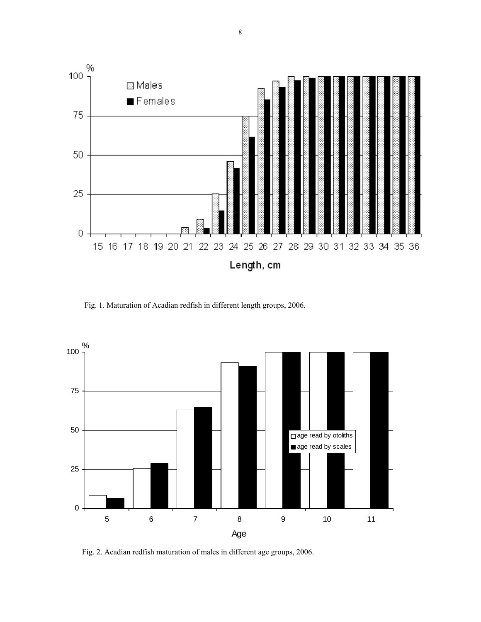

Fig. 1. Maturation of Acadian redfish in different length groups, 2006.



Fig. 2. Acadian redfish maturation of males in different age groups, 2006.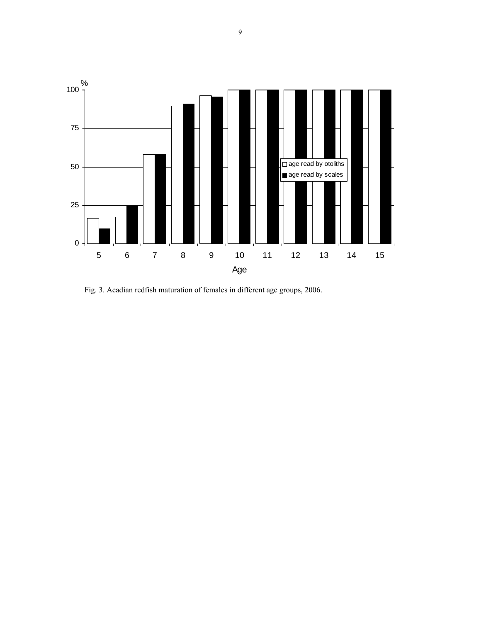

Fig. 3. Acadian redfish maturation of females in different age groups, 2006.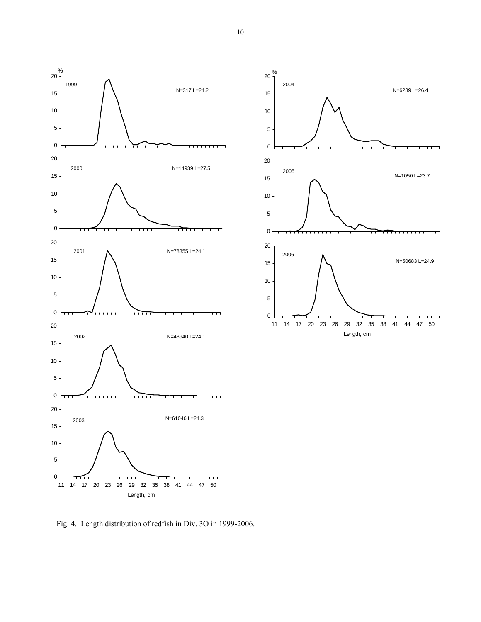



Fig. 4.Length distribution of redfish in Div. 3O in 1999-2006.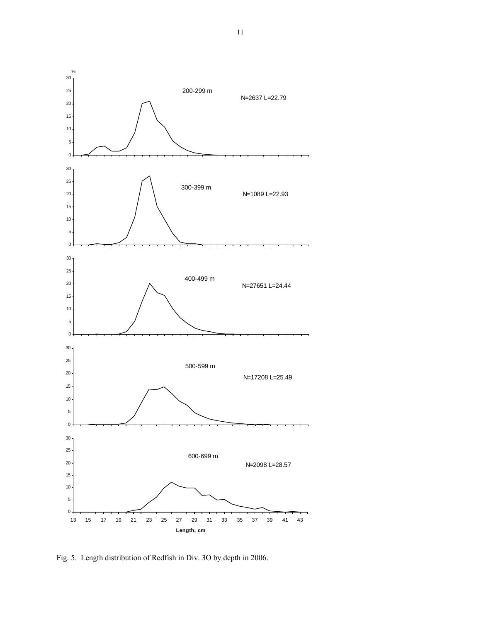

Fig. 5.Length distribution of Redfish in Div. 3O by depth in 2006.